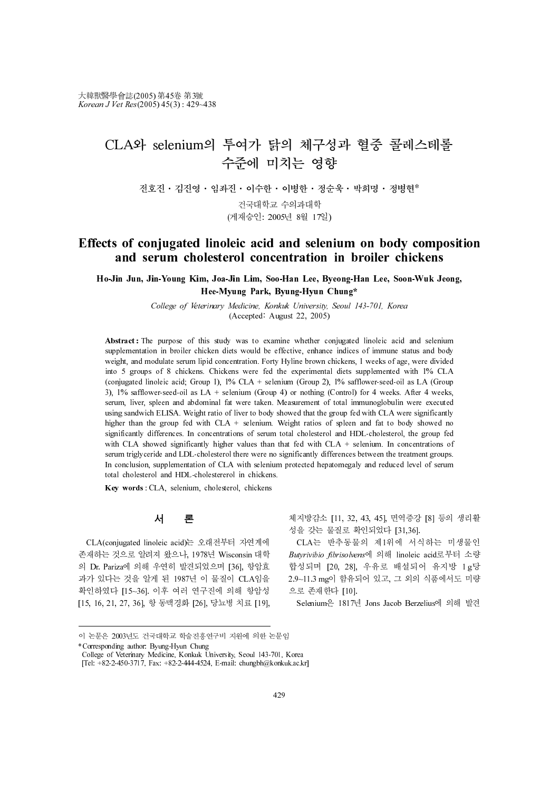## CLA와 selenium의 투여가 닭의 체구성과 혈중 콜레스테롤 수준에 미치는 영향

전호진 · 김진영 · 임좌진 · 이수한 · 이병한 · 정순욱 · 박희명 · 정병현\*<br>건국대학교 수의과대학 진국에크프 구석의의<br>레스신 2005년 0일 15 (게재승인: 2005년 8월 17일)

### Effects of conjugated linoleic acid and selenium on body composition and serum cholesterol concentration in broiler chickens

Ho-Jin Jun, Jin-Young Kim, Joa-Jin Lim, Soo-Han Lee, Byeong-Han Lee, Soon-Wuk Jeong, Hee-Myung Park, Byung-Hyun Chung\*

> College of Veterinary Medicine, Konkuk University, Seoul 143-701, Korea (Accepted: August 22, 2005)

**Effects of contention** in **broiler chickens**<br>
How Jim, Jone Kin, Josep Kin, Mong Sim, 1.6, None-Hand Les, None-Hand Les, None-Wink Jeang-<br>
College of Diversiony Market Kines Line, None-Hand Les None-Hand Les None-Hand Le in Jun, Jin-Young Kim, Jon-Jin Lim, Son-Hin Im, Son-Hin Inc, Byeong-Hin Lee, Soom-Wak Je<br>
Hee-Wynng Park, Byung-Hyun Chung<sup>4</sup><br>
College of Ferrinary Melodicos Kontester, Konsen<br>
College of Ferrinary Melodicos Konsen Chicke Hove Myung Park, Byung Park, Byung Payt, Byung Payt, Byung Payt, Booster Mayer, Soom 147-701. Korea<br>
Abstract The perpose of this subp was to examine whether recipiesent lifetion for the sole of the sole of the sole of th **Eventy Medicine, Konkuk University, Seoul 1**<br>
Frinary Medicine, Konkuk University, Seoul 1<br>
(Accepted: August 22, 2005)<br>
his study was to examine whether conjugate<br>
icken diets would be effective, enhance indices<br>
icken Abstract : The purpose of this study was to examine whether conjugated linoleic acid and selenium supplementation in broiler chicken diets would be effective, enhance indices of immune status and body weight, and modulate serum lipid concentration. Forty Hyline brown chickens, 1 weeks of age, were divided into 5 groups of 8 chickens. Chickens were fed the experimental diets supplemented with 1% CLA (conjugated linoleic acid; Group 1), 1% CLA + selenium (Group 2), 1% safflower-seed-oil as LA (Group 3), 1% safflower-seed-oil as LA + selenium (Group 4) or nothing (Control) for 4 weeks. After 4 weeks, serum, liver, spleen and abdominal fat were taken. Measurement of total immunoglobulin were executed using sandwich ELISA. Weight ratio of liver to body showed that the group fed with CLA were significantly higher than the group fed with CLA + selenium. Weight ratios of spleen and fat to body showed no significantly differences. In concentrations of serum total cholesterol and HDL-cholesterol, the group fed with CLA showed significantly higher values than that fed with CLA + selenium. In concentrations of serum triglyceride and LDL-cholesterol there were no significantly differences between the treatment groups. In conclusion, supplementation of CLA with selenium protected hepatomegaly and reduced level of serum total cholesterol and HDL-cholestererol in chickens.

Key words : CLA, selenium, cholesterol, chickens

## 서 론

CLA(conjugated linoleic acid)는 오래전부터 자연계에 존재하는 것으로 알려져 왔으나, 1978년 Wisconsin 대학 의 Dr. Pariza에 의해 우연히 발견되었으며 [36], 항암효 과가 있다는 것을 알게 된 1987년 이 물질이 CLA임을 파가 있다는 것을 될게 된 1987년 이 물질이 CLA림을<br>확인하였다 [15~36]. 이후 여러 연구진에 의해 항암성<br>[15, 16, 21, 27, 36], 항 동맥경화 [26], 당뇨병 치료 [19],<br><br>이 논문은 2003년도 건국대학교 학술진흥연구비 지원에 의한 논문임 [15, 16, 21, 27, 36], 항 동맥경화 [26], 당뇨병 치료 [19], Se 확인하였다 [15~36]. 이우 여러 연구  $T_c$ ;  $T_c$ ,  $T_c$ ,  $T_c$ ,  $T_c$ ,  $T_c$ ,  $T_c$ ,  $T_c$ ,  $T_c$ ,  $T_c$ ,  $T_c$ ,  $T_c$ ,  $T_c$ ,  $T_c$ ,  $T_c$ ,  $T_c$ ,  $T_c$ ,  $T_c$ ,  $T_c$ ,  $T_c$ ,  $T_c$ ,  $T_c$ ,  $T_c$ ,  $T_c$ ,  $T_c$ ,  $T_c$ ,  $T_c$ ,  $T_c$ ,  $T_c$ ,  $T_c$ ,  $T_c$ ,  $T_c$ ,  $T_c$ ,  $T_c$ ,  $T_c$ ,  $T_c$ ,  $T_c$ ,

체지방감소 [11, 32, 43, 45], 면역증강 [8] 등의 생리활 성을 갖는 물질로 확인되었다 [31,36].

CLA는 반추동물의 제1위에 서식하는 미생물인 Butyrivibio fibrisolvens에 의해 linoleic acid로부터 소량 합성되며 [20, 28], 우유로 배설되어 유지방 1g당 2.9~11.3 mg이 함유되어 있고, 그 외의 식품에서도 미량 으로 존재한다 [10].

Selenium은 1817년 Jons Jacob Berzelius에 의해 발견

<sup>[</sup>Tel: +82-2-450-3717, Fax: +82-2-444-4524, E-mail: chungbh@konkuk.ac.kr]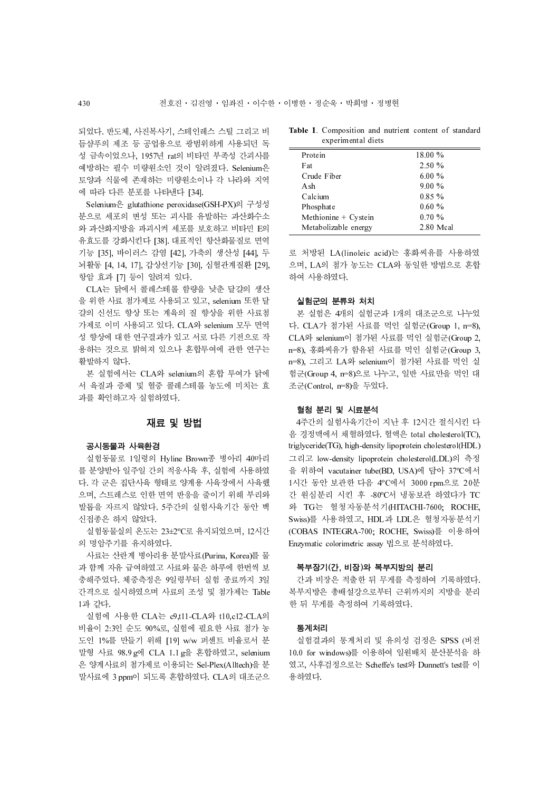되었다. 반도체, 사진복사기, 스테인레스 스틸 그리고 비 듬샴푸의 제조 등 공업용으로 광범위하게 사용되던 독 성 금속이었으나, 1957년 rat의 비타민 부족성 간괴사를 예방하는 필수 미량원소인 것이 알려졌다. Selenium은 토양과 식물에 존재하는 미량원소이나 각 나라와 지역 에 따라 다른 분포를 나타낸다 [34].

Selenium은 glutathione peroxidase(GSH-PX)의 구성성 분으로 세포의 변성 또는 괴사를 유발하는 과산화수소 와 과산화지방을 파괴시켜 세포를 보호하고 비타민 E의 유효도를 강화시킨다 [38]. 대표적인 항산화물질로 면역 기능 [35], 바이러스 감염 [42], 가축의 생산성 [44], 두 뇌활동 [4, 14, 17], 갑상선기능 [30], 심혈관계질환 [29], 항암 효과 [7] 등이 알려져 있다.

53<br><br>52 번도체, 사진복사기, 스테인레스 스틸 그리고 비<br>- Table 1. Composition and nutries<br>- 상금속이었으나, 1957년 rat의 비타민 부족성 간과사를<br>- Tracing Transies - 장범 Adverse Track Section<br>- Transies - 필요소인 것이 알려졌다. Section<br>- 모양과 식물에 존재하는 미량원소이나 각 나라와 지역 C CLA는 닭에서 콜레스테롤 함량을 낮춘 달걀의 생산 을 위한 사료 첨가제로 사용되고 있고, selenium 또한 달 걀의 신선도 향상 또는 계육의 질 향상을 위한 사료첨 가제로 이미 사용되고 있다. CLA와 selenium 모두 면역 성 향상에 대한 연구결과가 있고 서로 다른 기전으로 작 용하는 것으로 밝혀져 있으나 혼합투여에 관한 연구는 활발하지 않다.

본 실험에서는 CLA와 selenium의 혼합 투여가 닭에 서 육질과 증체 및 혈중 콜레스테롤 농도에 미치는 효 과를 확인하고자 실험하였다.

### 재료 및 방법

공시동물과 사육환경 실험동물로 1일령의 Hyline Brown종 병아리 40마리 를 분양받아 일주일 간의 적응사육 후, 실험에 사용하였 다. 각 군은 집단사육 형태로 양계용 사육장에서 사육했 으며, 스트레스로 인한 면역 반응을 줄이기 위해 부리와 발톱을 자르지 않았다. 5주간의 실험사육기간 동안 백 신접종은 하지 않았다.

실험동물실의 온도는 23±2°C로 유지되었으며, 12시간 의 명암주기를 유지하였다.

사료는 산란계 병아리용 분말사료(Purina, Korea)를 물 과 함께 자유 급여하였고 사료와 물은 하루에 한번씩 보 충해주었다. 체중측정은 9일령부터 실험 종료까지 3일 간격으로 실시하였으며 사료의 조성 및 첨가제는 Table 1과 같다.

실험에 사용한 CLA는 c9,t11-CLA와 t10,c12-CLA의 비율이 2:3인 순도 90%로, 실험에 필요한 사료 첨가 농 도인 1%를 만들기 위해 [19] w/w 퍼센트 비율로서 분 말형 사료 98.9 g에 CLA 1.1 g을 혼합하였고, selenium 은 양계사료의 첨가제로 이용되는 Sel-Plex(Alltech)을 분 말사료에 3 ppm이 되도록 혼합하였다. CLA의 대조군으

|  | Table 1. Composition and nutrient content of standard |  |  |  |
|--|-------------------------------------------------------|--|--|--|
|  | experimental diets                                    |  |  |  |

| Protein              | 18.00%    |           |
|----------------------|-----------|-----------|
| Fat                  | 2.50%     |           |
| Crude Fiber          | $6.00\%$  |           |
| A sh                 | $9.00\%$  |           |
| Calcium              | $0.85\%$  |           |
| Phosphate            | 0.60%     |           |
| Methionine + Cystein | $0.70 \%$ |           |
| Metabolizable energy |           | 2.80 Mcal |
|                      |           |           |

로 처방된 LA(linoleic acid)는 홍화씨유를 사용하였 으며, LA의 첨가 농도는 CLA와 동일한 방법으로 혼합 하여 사용하였다.

실험군의 분류와 처치 본 실험은 4개의 실험군과 1개의 대조군으로 나누었 다. CLA가 첨가된 사료를 먹인 실험군(Group 1, n=8), CLA와 selenium이 첨가된 사료를 먹인 실험군(Group 2, n=8), 홍화씨유가 함유된 사료를 먹인 실험군(Group 3, n=8), 그리고 LA와 selenium이 첨가된 사료를 먹인 실 험군(Group 4, n=8)으로 나누고, 일반 사료만을 먹인 대 조군(Control, n=8)을 두었다.

혈청 분리 및 시료분석 4주간의 실험사육기간이 지난 후 12시간 절식시킨 다 음 경정맥에서 채혈하였다. 혈액은 total cholesterol(TC), triglyceride(TG), high-density lipoprotein cholesterol(HDL) 그리고 low-density lipoprotein cholesterol(LDL)의 측정 을 위하여 vacutainer tube(BD, USA)에 담아 37°C에서 1시간 동안 보관한 다음 4°C에서 3000 rpm으로 20분 간 원심분리 시킨 후 -80°C서 냉동보관 하였다가 TC 와 TG는 혈청자동분석기(HITACHI-7600; ROCHE, Swiss)를 사용하였고, HDL과 LDL은 혈청자동분석기 (COBAS INTEGRA-700; ROCHE, Swiss)를 이용하여 Enzymatic colorimetric assay 법으로 분석하였다.

복부장기(간, 비장)와 복부지방의 분리 간과 비장은 적출한 뒤 무게를 측정하여 기록하였다. 복부지방은 총배설강으로부터 근위까지의 지방을 분리 한 뒤 무게를 측정하여 기록하였다.

통계처리 실험결과의 통계처리 및 유의성 검정은 SPSS (버전 10.0 for windows)를 이용하여 일원배치 분산분석을 하 였고, 사후검정으로는 Scheffe's test와 Dunnett's test를 이 용하였다.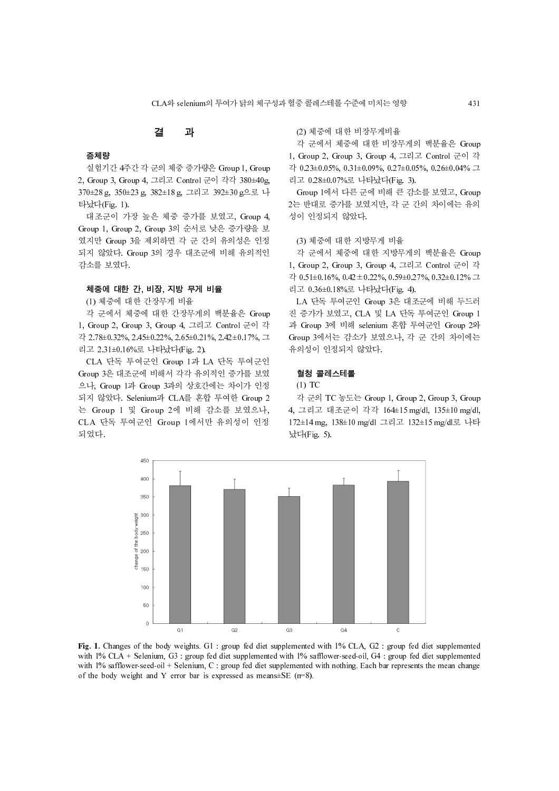## 결 과

증체량 실험기간 4주간 각 군의 체중 증가량은 Group 1, Group 2, Group 3, Group 4, 그리고 Control 군이 각각 380±40g, 370±28 g, 350±23 g, 382±18 g, 그리고 392±30 g으로 나 타났다(Fig. 1).

대조군이 가장 높은 체중 증가를 보였고, Group 4, Group 1, Group 2, Group 3의 순서로 낮은 증가량을 보 였지만 Group 3을 제외하면 각 군 간의 유의성은 인정 되지 않았다. Group 3의 경우 대조군에 비해 유의적인 감소를 보였다.

### 체중에 대한 간, 비장, 지방 무게 비율

(1) 체중에 대한 간장무게 비율

각 군에서 체중에 대한 간장무게의 백분율은 Group 1, Group 2, Group 3, Group 4, 그리고 Control 군이 각 각 2.78±0.32%, 2.45±0.22%, 2.65±0.21%, 2.42±0.17%, 그 리고 2.31±0.16%로 나타났다(Fig. 2).

CLA 단독 투여군인 Group 1과 LA 단독 투여군인 Group 3은 대조군에 비해서 각각 유의적인 증가를 보였 으나, Group 1과 Group 3과의 상호간에는 차이가 인정 되지 않았다. Selenium과 CLA를 혼합 투여한 Group 2 는 Group 1 및 Group 2에 비해 감소를 보였으나, CLA 단독 투여군인 Group 1에서만 유의성이 인정 되었다.

### (2) 체중에 대한 비장무게비율

각 군에서 체중에 대한 비장무게의 백분율은 Group 1, Group 2, Group 3, Group 4, 그리고 Control 군이 각 각 0.23±0.05%, 0.31±0.09%, 0.27±0.05%, 0.26±0.04% 그 리고 0.28±0.07%로 나타났다(Fig. 3).

Group 1에서 다른 군에 비해 큰 감소를 보였고, Group 2는 반대로 증가를 보였지만, 각 군 간의 차이에는 유의 성이 인정되지 않았다.

(3) 체중에 대한 지방무게 비율

각 군에서 체중에 대한 지방무게의 백분율은 Group 1, Group 2, Group 3, Group 4, 그리고 Control 군이 각 각 0.51±0.16%, 0.42±0.22%, 0.59±0.27%, 0.32±0.12% 그 리고 0.36±0.18%로 나타났다(Fig. 4).

CLA와 selenium의 투여가 닭의 체구성과 혈중 콜레스테롤 수준에 미치는 영향 431 LA 단독 투여군인 Group 3은 대조군에 비해 두드러 진 증가가 보였고, CLA 및 LA 단독 투여군인 Group 1 과 Group 3에 비해 selenium 혼합 투여군인 Group 2와 Group 3에서는 감소가 보였으나, 각 군 간의 차이에는 유의성이 인정되지 않았다.

### $\overline{a}$ 흔ㅎ 블레스테롤<br>④ 포스

(1) TC

각 군의 TC 농도는 Group 1, Group 2, Group 3, Group 4, 그리고 대조군이 각각 164±15 mg/dl, 135±10 mg/dl, 172±14 mg, 138±10 mg/dl 그리고 132±15 mg/dl로 나타 났다(Fig. 5).



Fig. 1. Changes of the body weights. G1 : group fed diet supplemented with 1% CLA, G2 : group fed diet supplemented with 1% CLA + Selenium, G3 : group fed diet supplemented with 1% safflower-seed-oil, G4 : group fed diet supplemented with 1% safflower-seed-oil + Selenium, C : group fed diet supplemented with nothing. Each bar represents the mean change of the body weight and Y error bar is expressed as means $\pm$ SE (n=8).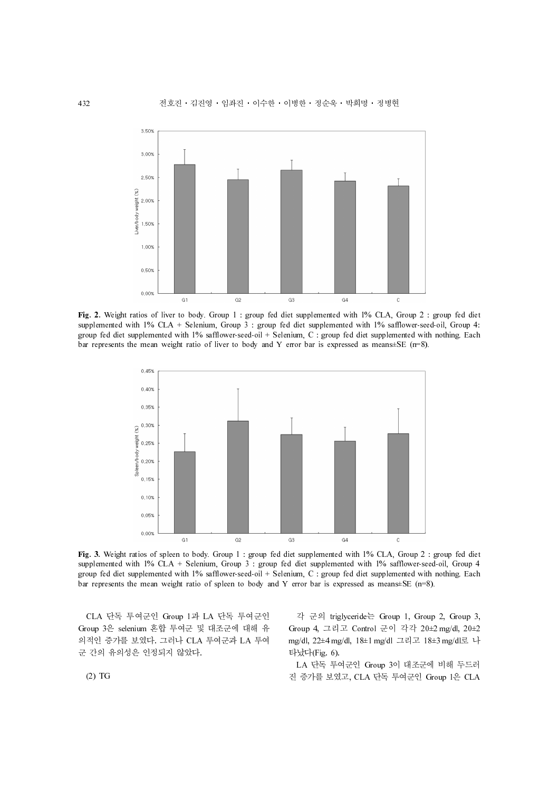

Fig. 2. Weight ratios of liver to body. Group 1 : group fed diet supplemented with 1% CLA, Group 2 : group fed diet supplemented with 1% CLA + Selenium, Group 3 : group fed diet supplemented with 1% safflower-seed-oil, Group 4: group fed diet supplemented with 1% safflower-seed-oil + Selenium, C : group fed diet supplemented with nothing. Each bar represents the mean weight ratio of liver to body and Y error bar is expressed as means±SE (n=8).



Fig. 3. Weight ratios of spleen to body. Group 1 : group fed diet supplemented with 1% CLA, Group 2 : group fed diet supplemented with 1% CLA + Selenium, Group 3 : group fed diet supplemented with 1% safflower-seed-oil, Group 4 group fed diet supplemented with 1% safflower-seed-oil + Selenium, C : group fed diet supplemented with nothing. Each bar represents the mean weight ratio of spleen to body and Y error bar is expressed as means±SE (n=8).

CLA 단독 투여군인 Group 1과 LA 단독 투여군인 Group 3은 selenium 혼합 투여군 및 대조군에 대해 유 의적인 증가를 보였다. 그러나 CLA 투여군과 LA 투여 군 간의 유의성은 인정되지 않았다.

각 군의 triglyceride는 Group 1, Group 2, Group 3, Group 4, 그리고 Control 군이 각각 20±2 mg/dl, 20±2 mg/dl, 22±4 mg/dl, 18±1 mg/dl 그리고 18±3 mg/dl로 나 타났다(Fig. 6).

LA 단독 투여군인 Group 3이 대조군에 비해 두드러 진 증가를 보였고, CLA 단독 투여군인 Group 1은 CLA

(2) TG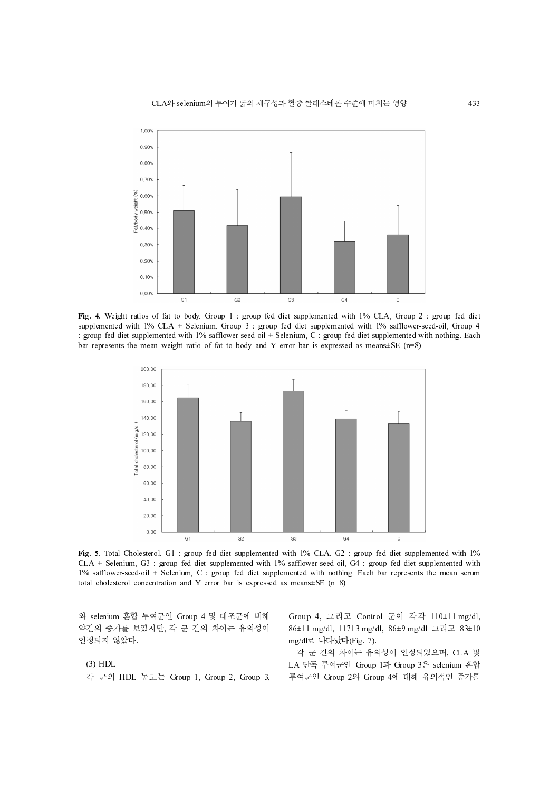

Fig. 4. Weight ratios of fat to body. Group 1 : group fed diet supplemented with 1% CLA, Group 2 : group fed diet supplemented with 1% CLA + Selenium, Group 3 : group fed diet supplemented with 1% safflower-seed-oil, Group 4 : group fed diet supplemented with 1% safflower-seed-oil + Selenium, C : group fed diet supplemented with nothing. Each bar represents the mean weight ratio of fat to body and Y error bar is expressed as means±SE (n=8).



Fig. 5. Total Cholesterol. G1 : group fed diet supplemented with 1% CLA, G2 : group fed diet supplemented with 1% CLA + Selenium, G3 : group fed diet supplemented with 1% safflower-seed-oil, G4 : group fed diet supplemented with 1% safflower-seed-oil + Selenium, C : group fed diet supplemented with nothing. Each bar represents the mean serum total cholesterol concentration and Y error bar is expressed as means±SE (n=8).

와 selenium 혼합 투여군인 Group 4 및 대조군에 비해 약간의 증가를 보였지만, 각 군 간의 차이는 유의성이 인정되지 않았다.

### (3) HDL

각 군의 HDL 농도는 Group 1, Group 2, Group 3,

Group 4, 그리고 Control 군이 각각 110±11 mg/dl, 86±11 mg/dl, 11713 mg/dl, 86±9 mg/dl 그리고 83±10 mg/dl로 나타났다(Fig. 7).

각 군 간의 차이는 유의성이 인정되었으며, CLA 및 LA 단독 투여군인 Group 1과 Group 3은 selenium 혼합 투여군인 Group 2와 Group 4에 대해 유의적인 증가를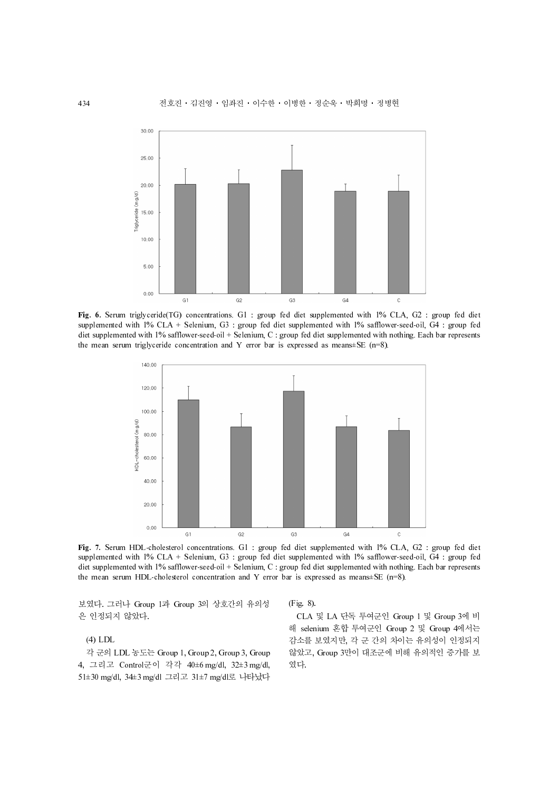

Fig. 6. Serum triglyceride(TG) concentrations. G1 : group fed diet supplemented with 1% CLA, G2 : group fed diet supplemented with 1% CLA + Selenium, G3 : group fed diet supplemented with 1% safflower-seed-oil, G4 : group fed diet supplemented with 1% safflower-seed-oil + Selenium, C : group fed diet supplemented with nothing. Each bar represents the mean serum triglyceride concentration and Y error bar is expressed as means $\pm$ SE (n=8).



Fig. 7. Serum HDL-cholesterol concentrations. G1 : group fed diet supplemented with 1% CLA, G2 : group fed diet supplemented with 1% CLA + Selenium, G3 : group fed diet supplemented with 1% safflower-seed-oil, G4 : group fed diet supplemented with 1% safflower-seed-oil + Selenium, C : group fed diet supplemented with nothing. Each bar represents the mean serum HDL-cholesterol concentration and Y error bar is expressed as means $\pm$ SE (n=8).

보였다. 그러나 Group 1과 Group 3의 상호간의 유의성 은 인정되지 않았다.

### (4) LDL

각 군의 LDL 농도는 Group 1, Group 2, Group 3, Group 4, 그리고 Control군이 각각 40±6 mg/dl, 32±3 mg/dl, 51±30 mg/dl, 34±3 mg/dl 그리고 31±7 mg/dl로 나타났다 (Fig. 8).

CLA 및 LA 단독 투여군인 Group 1 및 Group 3에 비 해 selenium 혼합 투여군인 Group 2 및 Group 4에서는 감소를 보였지만, 각 군 간의 차이는 유의성이 인정되지 않았고, Group 3만이 대조군에 비해 유의적인 증가를 보 였다.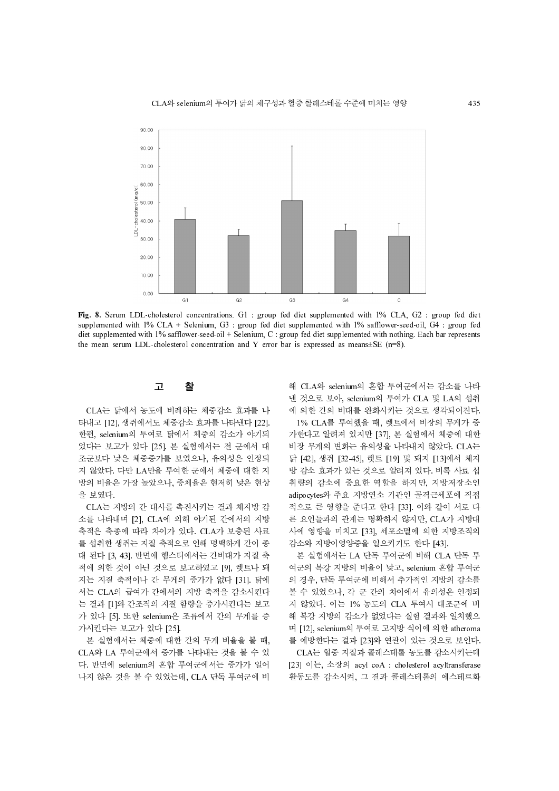

Fig. 8. Serum LDL-cholesterol concentrations. G1 : group fed diet supplemented with 1% CLA, G2 : group fed diet supplemented with 1% CLA + Selenium, G3 : group fed diet supplemented with 1% safflower-seed-oil, G4 : group fed diet supplemented with 1% safflower-seed-oil + Selenium, C : group fed diet supplemented with nothing. Each bar represents the mean serum LDL-cholesterol concentration and Y error bar is expressed as means±SE (n=8).

## 그 그

CLA는 닭에서 농도에 비례하는 체중감소 효과를 나 타내고 [12], 생쥐에서도 체중감소 효과를 나타낸다 [22]. 한편, selenium의 투여로 닭에서 체중의 감소가 야기되 었다는 보고가 있다 [25]. 본 실험에서는 전 군에서 대 조군보다 낮은 체중증가를 보였으나, 유의성은 인정되 지 않았다. 다만 LA만을 투여한 군에서 체중에 대한 지 방의 비율은 가장 높았으나, 증체율은 현저히 낮은 현상 을 보였다.

CLA는 지방의 간 대사를 촉진시키는 결과 체지방 감 소를 나타내며 [2], CLA에 의해 야기된 간에서의 지방 축적은 축종에 따라 차이가 있다. CLA가 보충된 사료 를 섭취한 생쥐는 지질 축적으로 인해 명백하게 간이 종 대 된다 [3, 43]. 반면에 햄스터에서는 간비대가 지질 축 적에 의한 것이 아닌 것으로 보고하였고 [9], 렛트나 돼 지는 지질 축적이나 간 무게의 증가가 없다 [31]. 닭에 서는 CLA의 급여가 간에서의 지방 축적을 감소시킨다 는 결과 [1]와 간조직의 지질 함량을 증가시킨다는 보고 가 있다 [5]. 또한 selenium은 조류에서 간의 무게를 증 가시킨다는 보고가 있다 [25].

본 실험에서는 체중에 대한 간의 무게 비율을 볼 때, CLA와 LA 투여군에서 증가를 나타내는 것을 볼 수 있 다. 반면에 selenium의 혼합 투여군에서는 증가가 일어 나지 않은 것을 볼 수 있었는데, CLA 단독 투여군에 비

해 CLA와 selenium의 혼합 투여군에서는 감소를 나타 낸 것으로 보아, selenium의 투여가 CLA 및 LA의 섭취 에 의한 간의 비대를 완화시키는 것으로 생각되어진다. 1% CLA를 투여했을 때, 렛트에서 비장의 무게가 증

가한다고 알려져 있지만 [37], 본 실험에서 체중에 대한 비장 무게의 변화는 유의성을 나타내지 않았다. CLA는 닭 [42], 생쥐 [32-45], 렛트 [19] 및 돼지 [13]에서 체지 방 감소 효과가 있는 것으로 알려져 있다. 비록 사료 섭 취량의 감소에 중요한 역할을 하지만, 지방저장소인 adipocytes와 주요 지방연소 기관인 골격근세포에 직접 적으로 큰 영향을 준다고 한다 [33]. 이와 같이 서로 다 른 요인들과의 관계는 명확하지 않지만, CLA가 지방대 사에 영향을 미치고 [33], 세포소멸에 의한 지방조직의 감소와 지방이영양증을 일으키기도 한다 [43].

본 실험에서는 LA 단독 투여군에 비해 CLA 단독 투 여군의 복강 지방의 비율이 낮고, selenium 혼합 투여군 의 경우, 단독 투여군에 비해서 추가적인 지방의 감소를 볼 수 있었으나, 각 군 간의 차이에서 유의성은 인정되 지 않았다. 이는 1% 농도의 CLA 투여시 대조군에 비 해 복강 지방의 감소가 없었다는 실험 결과와 일치했으 며 [12], selenium의 투여로 고지방 식이에 의한 atheroma 를 예방한다는 결과 [23]와 연관이 있는 것으로 보인다. CLA는 혈중 지질과 콜레스테롤 농도를 감소시키는데 [23] 이는, 소장의 acyl coA : cholesterol acyltransferase 활동도를 감소시켜, 그 결과 콜레스테롤의 에스테르화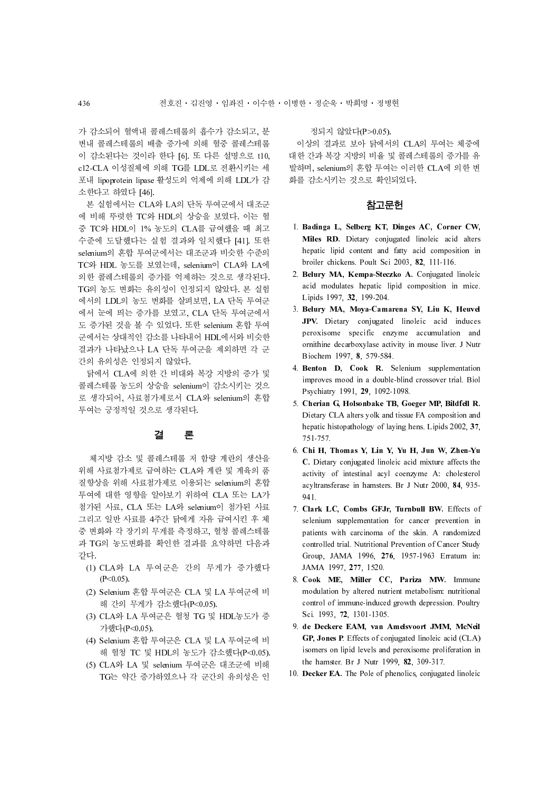가 감소되어 혈액내 콜레스테롤의 흡수가 감소되고, 분 변내 콜레스테롤의 배출 증가에 의해 혈중 콜레스테롤 이 감소된다는 것이라 한다 [6]. 또 다른 설명으로 t10, c12-CLA 이성질체에 의해 TG를 LDL로 전환시키는 세 포내 lipoprotein lipase 활성도의 억제에 의해 LDL가 감 소한다고 하였다 [46].

7) 감소되어 협력해 활레스테롤의 흡수가 감소되고, 분류 경의지 않았다(P>0.05)<br>한 관계 대통령 이상의 결과로 보아 닭에서의 검사되었다.<br>이상 결과로 이상 경제에서 이해 활동 플레스테롤 이상의 결과로 보아 닭에서의<br>이상 검사 이상 결과로 보아 닭에서의 이상의 결과로 보아 닭에서의<br>2014. 이상 결과 발생 TC와 HA의 단독 본 20일 11월 12월 22일 12월 12월 12월 12월 본 실험에서는 CLA와 LA의 단독 투여군에서 대조군 에 비해 뚜렷한 TC와 HDL의 상승을 보였다. 이는 혈 중 TC와 HDL이 1% 농도의 CLA를 급여했을 때 최고 수준에 도달했다는 실험 결과와 일치했다 [41]. 또한 selenium의 혼합 투여군에서는 대조군과 비슷한 수준의 TC와 HDL 농도를 보였는데, selenium이 CLA와 LA에 의한 콜레스테롤의 증가를 억제하는 것으로 생각된다. TG의 농도 변화는 유의성이 인정되지 않았다. 본 실험 에서의 LDL의 농도 변화를 살펴보면, LA 단독 투여군 에서 눈에 띄는 증가를 보였고, CLA 단독 투여군에서 도 증가된 것을 볼 수 있었다. 또한 selenium 혼합 투여 군에서는 상대적인 감소를 나타내어 HDL에서와 비슷한 결과가 나타났으나 LA 단독 투여군을 제외하면 각 군 간의 유의성은 인정되지 않았다.

닭에서 CLA에 의한 간 비대와 복강 지방의 증가 및 콜레스테롤 농도의 상승을 selenium이 감소시키는 것으 로 생각되어, 사료첨가제로서 CLA와 selenium의 혼합 투여는 긍정적일 것으로 생각된다.

# 결 론

 체지방 감소 및 콜레스테롤 저 함량 계란의 생산을 위해 사료첨가제로 급여하는 CLA와 계란 및 계육의 품 질향상을 위해 사료첨가제로 이용되는 selenium의 혼합 투여에 대한 영향을 알아보기 위하여 CLA 또는 LA가 첨가된 사료, CLA 또는 LA와 selenium이 첨가된 사료 그리고 일반 사료를 4주간 닭에게 자유 급여시킨 후 체 중 변화와 각 장기의 무게를 측정하고, 혈청 콜레스테롤 과 TG의 농도변화를 확인한 결과를 요약하면 다음과 같다.

- (1) CLA와 LA 투여군은 간의 무게가 증가했다  $(P<0.05)$ .
- (2) Selenium 혼합 투여군은 CLA 및 LA 투여군에 비 해 간의 무게가 감소했다(P<0.05).
- (3) CLA와 LA 투여군은 혈청 TG 및 HDL농도가 증 가했다(P<0.05).
- (4) Selenium 혼합 투여군은 CLA 및 LA 투여군에 비 해 혈청 TC 및 HDL의 농도가 감소했다(P<0.05).
- (5) CLA와 LA 및 selenium 투여군은 대조군에 비해 TG는 약간 증가하였으나 각 군간의 유의성은 인

### 정되지 않았다(P>0.05).

이상의 결과로 보아 닭에서의 CLA의 투여는 체중에 대한 간과 복강 지방의 비율 및 콜레스테롤의 증가를 유 발하며, selenium의 혼합 투여는 이러한 CLA에 의한 변 화를 감소시키는 것으로 확인되었다.

## 참고문헌

- 1. Badinga L, Selberg KT, Dinges AC, Corner CW, Miles RD. Dietary conjugated linoleic acid alters hepatic lipid content and fatty acid composition in broiler chickens. Poult Sci 2003, 82, 111-116.
- 2. Belury MA, Kempa-Steczko A. Conjugated linoleic acid modulates hepatic lipid composition in mice. Lipids 1997, 32, 199-204.
- 3. Belury MA, Moya-Camarena SY, Liu K, Heuvel JPV. Dietary conjugated linoleic acid induces peroxisome specific enzyme accumulation and ornithine decarboxylase activity in mouse liver. J Nutr Biochem 1997, 8, 579-584.
- 4. Benton D, Cook R. Selenium supplementation improves mood in a double-blind crossover trial. Biol Psychiatry 1991, 29, 1092-1098.
- 5. Cherian G, Holsonbake TB, Goeger MP, Bildfell R. Dietary CLA alters yolk and tissue FA composition and hepatic histopathology of laying hens. Lipids 2002, 37, 751-757.
- 6. Chi H, Thomas Y, Lin Y, Yu H, Jun W, Zhen-Yu C. Dietary conjugated linoleic acid mixture affects the activity of intestinal acyl coenzyme A: cholesterol acyltransferase in hamsters. Br J Nutr 2000, 84, 935- 941.
- 7. Clark LC, Combs GFJr, Turnbull BW. Effects of selenium supplementation for cancer prevention in patients with carcinoma of the skin. A randomized controlled trial. Nutritional Prevention of Cancer Study Group, JAMA 1996, 276, 1957-1963 Erratum in: JAMA 1997, 277, 1520.
- 8. Cook ME, Miller CC, Pariza MW. Immune modulation by altered nutrient metabolism: nutritional control of immune-induced growth depression. Poultry Sci. 1993, 72, 1301-1305.
- 9. de Deckere EAM, van Amelsvoort JMM, McNeil GP, Jones P. Effects of conjugated linoleic acid (CLA) isomers on lipid levels and peroxisome proliferation in the hamster. Br J Nutr 1999, 82, 309-317.
- 10. Decker EA. The Pole of phenolics, conjugated linoleic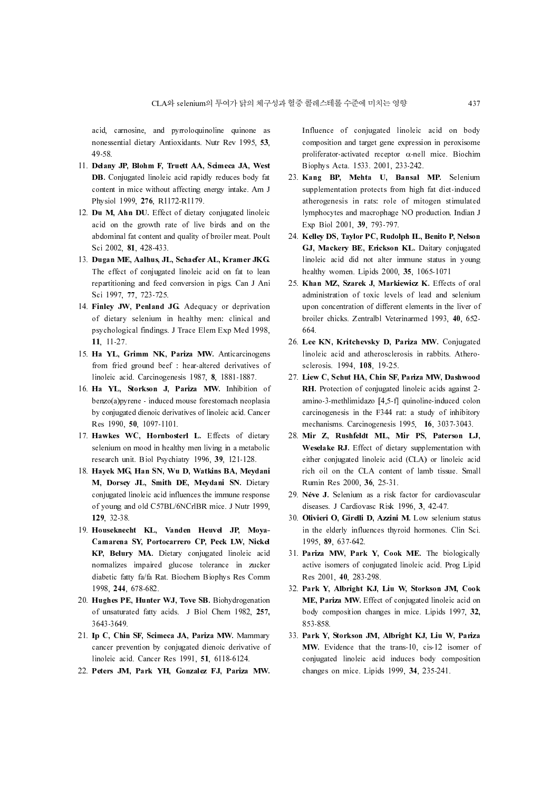acid, carnosine, and pyrroloquinoline quinone as nonessential dietary Antioxidants. Nutr Rev 1995, 53, 49-58.

- 11. Delany JP, Blohm F, Truett AA, Scimeca JA, West DB. Conjugated linoleic acid rapidly reduces body fat content in mice without affecting energy intake. Am J Physiol 1999, 276, R1172-R1179.
- 12. Du M, Ahn DU. Effect of dietary conjugated linoleic acid on the growth rate of live birds and on the abdominal fat content and quality of broiler meat. Poult Sci 2002, 81, 428-433.
- 13. Dugan ME, Aalhus, JL, Schaefer AL, Kramer JKG. The effect of conjugated linoleic acid on fat to lean repartitioning and feed conversion in pigs. Can J Ani Sci 1997, 77, 723-725.
- 14. Finley JW, Penland JG. Adequacy or deprivation of dietary selenium in healthy men: clinical and psychological findings. J Trace Elem Exp Med 1998, 11, 11-27.
- 15. Ha YL, Grimm NK, Pariza MW. Anticarcinogens from fried ground beef : hear-altered derivatives of linoleic acid. Carcinogenesis 1987, 8, 1881-1887.
- 16. Ha YL, Storkson J, Pariza MW. Inhibition of benzo(a)pyrene - induced mouse forestomach neoplasia by conjugated dienoic derivatives of linoleic acid. Cancer Res 1990, 50, 1097-1101.
- 17. Hawkes WC, Hornbosterl L. Effects of dietary selenium on mood in healthy men living in a metabolic research unit. Biol Psychiatry 1996, 39, 121-128.
- 18. Hayek MG, Han SN, Wu D, Watkins BA, Meydani M, Dorsey JL, Smith DE, Meydani SN. Dietary conjugated linoleic acid influences the immune response of young and old C57BL/6NCrlBR mice. J Nutr 1999, 129, 32-38.
- 19. Houseknecht KL, Vanden Heuvel JP, Moya-Camarena SY, Portocarrero CP, Peck LW, Nickel KP, Belury MA. Dietary conjugated linoleic acid normalizes impaired glucose tolerance in zucker diabetic fatty fa/fa Rat. Biochem Biophys Res Comm 1998, 244, 678-682.
- 20. Hughes PE, Hunter WJ, Tove SB. Biohydrogenation of unsaturated fatty acids. J Biol Chem 1982, 257, 3643-3649.
- 21. Ip C, Chin SF, Scimeca JA, Pariza MW. Mammary cancer prevention by conjugated dienoic derivative of linoleic acid. Cancer Res 1991, 51, 6118-6124.
- 22. Peters JM, Park YH, Gonzalez FJ, Pariza MW.

Influence of conjugated linoleic acid on body composition and target gene expression in peroxisome proliferator-activated receptor α-nell mice. Biochim Biophys Acta. 1533. 2001, 233-242.

- CONFIRENTIATE UP 18 A Selection and target generation and target generations and periodic acid on body<br>
In Truet AA, Scinness JA, West<br>
proposition and target gene expression in peroxisome<br>
profilerato-actived receptor act 23. Kang BP, Mehta U, Bansal MP. Selenium supplementation protects from high fat diet-induced atherogenesis in rats: role of mitogen stimulated lymphocytes and macrophage NO production. Indian J Exp Biol 2001, 39, 793-797.
	- 24. Kelley DS, Taylor PC, Rudolph IL, Benito P, Nelson GJ, Mackery BE, Erickson KL. Daitary conjugated linoleic acid did not alter immune status in young healthy women. Lipids 2000, 35, 1065-1071
	- 25. Khan MZ, Szarek J, Markiewicz K. Effects of oral administration of toxic levels of lead and selenium upon concentration of different elements in the liver of broiler chicks. Zentralbl Veterinarmed 1993, 40, 652- 664.
	- 26. Lee KN, Kritchevsky D, Pariza MW. Conjugated linoleic acid and atherosclerosis in rabbits. Atherosclerosis. 1994, 108, 19-25.
	- 27. Liew C, Schut HA, Chin SF, Pariza MW, Dashwood RH. Protection of conjugated linoleic acids against 2 amino-3-methlimidazo [4,5-f] quinoline-induced colon carcinogenesis in the F344 rat: a study of inhibitory mechanisms. Carcinogenesis 1995, 16, 3037-3043.
	- 28. Mir Z, Rushfeldt ML, Mir PS, Paterson LJ, Weselake RJ. Effect of dietary supplementation with either conjugated linoleic acid (CLA) or linoleic acid rich oil on the CLA content of lamb tissue. Small Rumin Res 2000, 36, 25-31.
	- 29. Néve J. Selenium as a risk factor for cardiovascular diseases. J Cardiovasc Risk 1996, 3, 42-47.
	- 30. Olivieri O, Girelli D, Azzini M. Low selenium status in the elderly influences thyroid hormones. Clin Sci. 1995, 89, 637-642.
	- 31. Pariza MW, Park Y, Cook ME. The biologically active isomers of conjugated linoleic acid. Prog Lipid Res 2001, 40, 283-298.
	- 32. Park Y, Albright KJ, Liu W, Storkson JM, Cook ME, Pariza MW. Effect of conjugated linoleic acid on body composition changes in mice. Lipids 1997, 32, 853-858.
	- 33. Park Y, Storkson JM, Albright KJ, Liu W, Pariza MW. Evidence that the trans-10, cis-12 isomer of conjugated linoleic acid induces body composition changes on mice. Lipids 1999, 34, 235-241.